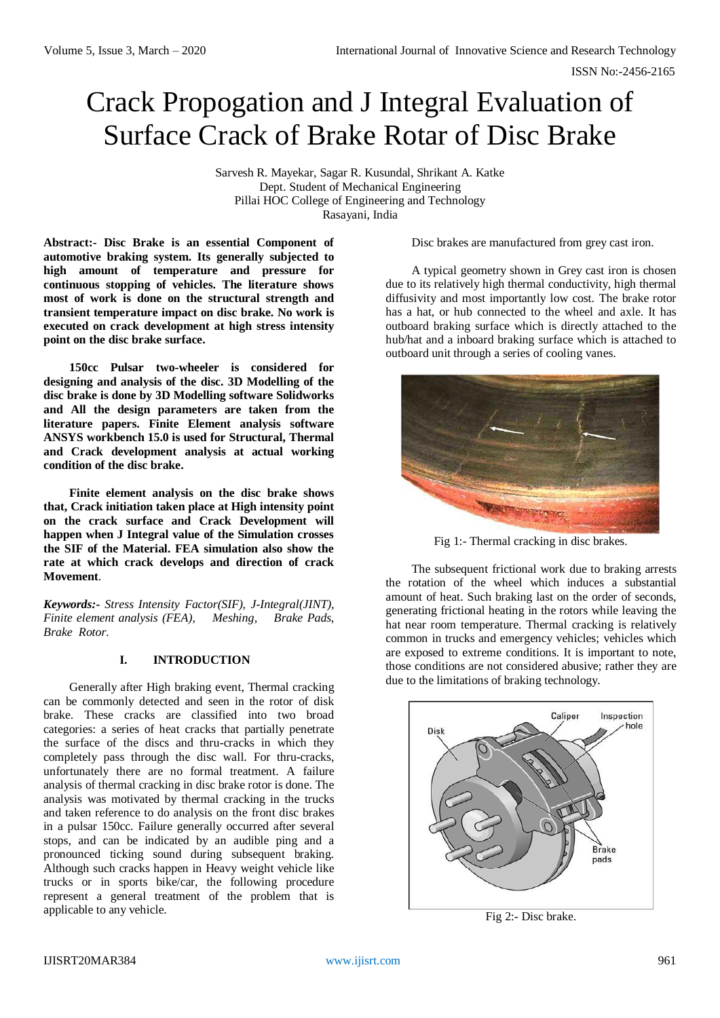# Crack Propogation and J Integral Evaluation of Surface Crack of Brake Rotar of Disc Brake

Sarvesh R. Mayekar, Sagar R. Kusundal, Shrikant A. Katke Dept. Student of Mechanical Engineering Pillai HOC College of Engineering and Technology Rasayani, India

**Abstract:- Disc Brake is an essential Component of automotive braking system. Its generally subjected to high amount of temperature and pressure for continuous stopping of vehicles. The literature shows most of work is done on the structural strength and transient temperature impact on disc brake. No work is executed on crack development at high stress intensity point on the disc brake surface.** 

**150cc Pulsar two-wheeler is considered for designing and analysis of the disc. 3D Modelling of the disc brake is done by 3D Modelling software Solidworks and All the design parameters are taken from the literature papers. Finite Element analysis software ANSYS workbench 15.0 is used for Structural, Thermal and Crack development analysis at actual working condition of the disc brake.** 

**Finite element analysis on the disc brake shows that, Crack initiation taken place at High intensity point on the crack surface and Crack Development will happen when J Integral value of the Simulation crosses the SIF of the Material. FEA simulation also show the rate at which crack develops and direction of crack Movement**.

*Keywords:- Stress Intensity Factor(SIF), J-Integral(JINT), Finite element analysis (FEA), Meshing, Brake Pads, Brake Rotor.*

# **I. INTRODUCTION**

Generally after High braking event, Thermal cracking can be commonly detected and seen in the rotor of disk brake. These cracks are classified into two broad categories: a series of heat cracks that partially penetrate the surface of the discs and thru-cracks in which they completely pass through the disc wall. For thru-cracks, unfortunately there are no formal treatment. A failure analysis of thermal cracking in disc brake rotor is done. The analysis was motivated by thermal cracking in the trucks and taken reference to do analysis on the front disc brakes in a pulsar 150cc. Failure generally occurred after several stops, and can be indicated by an audible ping and a pronounced ticking sound during subsequent braking. Although such cracks happen in Heavy weight vehicle like trucks or in sports bike/car, the following procedure represent a general treatment of the problem that is applicable to any vehicle.

Disc brakes are manufactured from grey cast iron.

A typical geometry shown in Grey cast iron is chosen due to its relatively high thermal conductivity, high thermal diffusivity and most importantly low cost. The brake rotor has a hat, or hub connected to the wheel and axle. It has outboard braking surface which is directly attached to the hub/hat and a inboard braking surface which is attached to outboard unit through a series of cooling vanes.



Fig 1:- Thermal cracking in disc brakes.

The subsequent frictional work due to braking arrests the rotation of the wheel which induces a substantial amount of heat. Such braking last on the order of seconds, generating frictional heating in the rotors while leaving the hat near room temperature. Thermal cracking is relatively common in trucks and emergency vehicles; vehicles which are exposed to extreme conditions. It is important to note, those conditions are not considered abusive; rather they are due to the limitations of braking technology.



Fig 2:- Disc brake.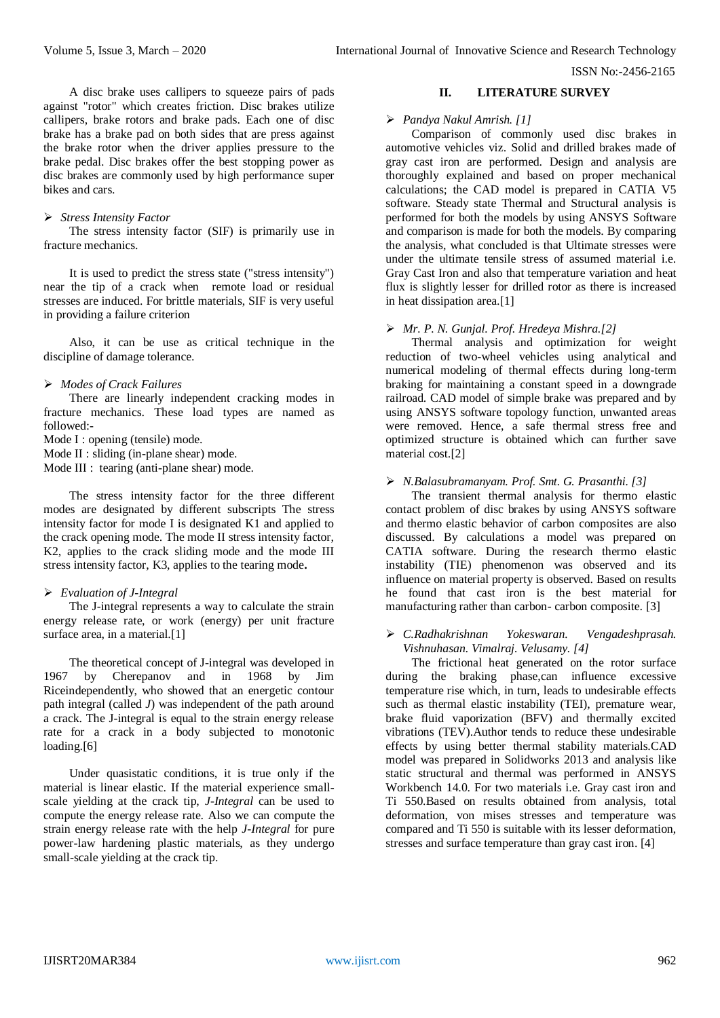A disc brake uses callipers to squeeze pairs of pads against "rotor" which creates friction. Disc brakes utilize callipers, brake rotors and brake pads. Each one of disc brake has a brake pad on both sides that are press against the brake rotor when the driver applies pressure to the brake pedal. Disc brakes offer the best stopping power as disc brakes are commonly used by high performance super bikes and cars.

#### *Stress Intensity Factor*

The stress intensity factor (SIF) is primarily use in fracture mechanics.

It is used to predict the stress state ("stress intensity") near the tip of a crack when remote load or residual stresses are induced. For brittle materials, SIF is very useful in providing a failure criterion

Also, it can be use as critical technique in the discipline of damage tolerance.

## *Modes of Crack Failures*

There are linearly independent cracking modes in fracture mechanics. These load types are named as followed:-

Mode I : opening (tensile) mode.

Mode II : sliding (in-plane shear) mode.

Mode III : tearing (anti-plane shear) mode.

The stress intensity factor for the three different modes are designated by different subscripts The stress intensity factor for mode I is designated K1 and applied to the crack opening mode. The mode II stress intensity factor, K2, applies to the crack sliding mode and the mode III stress intensity factor, K3, applies to the tearing mode**.**

## *Evaluation of J-Integral*

The J-integral represents a way to calculate the strain energy release rate, or work (energy) per unit fracture surface area, in a material.<sup>[1]</sup>

The theoretical concept of J-integral was developed in 1967 by Cherepanov and in 1968 by Jim Riceindependently, who showed that an energetic contour path integral (called *J*) was independent of the path around a crack. The J-integral is equal to the strain energy release rate for a crack in a body subjected to monotonic loading.[6]

Under quasistatic conditions, it is true only if the material is linear elastic. If the material experience smallscale yielding at the crack tip, *J-Integral* can be used to compute the energy release rate. Also we can compute the strain energy release rate with the help *J-Integral* for pure power-law hardening plastic materials, as they undergo small-scale yielding at the crack tip.

#### **II. LITERATURE SURVEY**

#### *Pandya Nakul Amrish. [1]*

Comparison of commonly used disc brakes in automotive vehicles viz. Solid and drilled brakes made of gray cast iron are performed. Design and analysis are thoroughly explained and based on proper mechanical calculations; the CAD model is prepared in CATIA V5 software. Steady state Thermal and Structural analysis is performed for both the models by using ANSYS Software and comparison is made for both the models. By comparing the analysis, what concluded is that Ultimate stresses were under the ultimate tensile stress of assumed material i.e. Gray Cast Iron and also that temperature variation and heat flux is slightly lesser for drilled rotor as there is increased in heat dissipation area.[1]

#### *Mr. P. N. Gunjal. Prof. Hredeya Mishra.[2]*

Thermal analysis and optimization for weight reduction of two-wheel vehicles using analytical and numerical modeling of thermal effects during long-term braking for maintaining a constant speed in a downgrade railroad. CAD model of simple brake was prepared and by using ANSYS software topology function, unwanted areas were removed. Hence, a safe thermal stress free and optimized structure is obtained which can further save material cost.[2]

#### *N.Balasubramanyam. Prof. Smt. G. Prasanthi. [3]*

The transient thermal analysis for thermo elastic contact problem of disc brakes by using ANSYS software and thermo elastic behavior of carbon composites are also discussed. By calculations a model was prepared on CATIA software. During the research thermo elastic instability (TIE) phenomenon was observed and its influence on material property is observed. Based on results he found that cast iron is the best material for manufacturing rather than carbon- carbon composite. [3]

#### *C.Radhakrishnan Yokeswaran. Vengadeshprasah. Vishnuhasan. Vimalraj. Velusamy. [4]*

The frictional heat generated on the rotor surface during the braking phase,can influence excessive temperature rise which, in turn, leads to undesirable effects such as thermal elastic instability (TEI), premature wear, brake fluid vaporization (BFV) and thermally excited vibrations (TEV).Author tends to reduce these undesirable effects by using better thermal stability materials.CAD model was prepared in Solidworks 2013 and analysis like static structural and thermal was performed in ANSYS Workbench 14.0. For two materials i.e. Gray cast iron and Ti 550.Based on results obtained from analysis, total deformation, von mises stresses and temperature was compared and Ti 550 is suitable with its lesser deformation, stresses and surface temperature than gray cast iron. [4]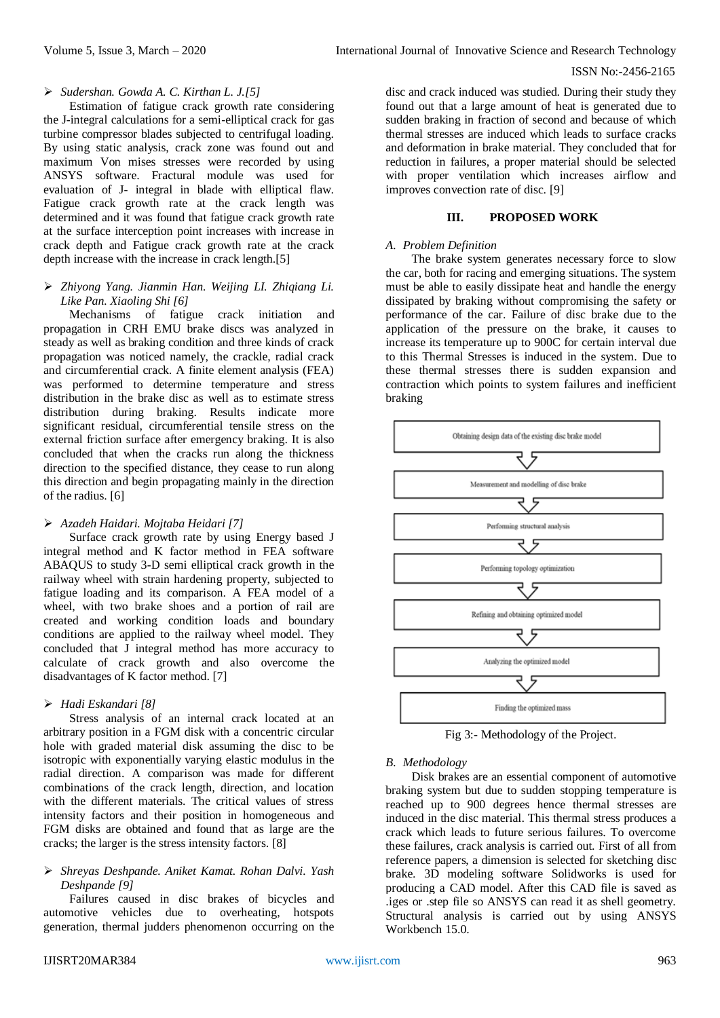## *Sudershan. Gowda A. C. Kirthan L. J.[5]*

Estimation of fatigue crack growth rate considering the J-integral calculations for a semi-elliptical crack for gas turbine compressor blades subjected to centrifugal loading. By using static analysis, crack zone was found out and maximum Von mises stresses were recorded by using ANSYS software. Fractural module was used for evaluation of J- integral in blade with elliptical flaw. Fatigue crack growth rate at the crack length was determined and it was found that fatigue crack growth rate at the surface interception point increases with increase in crack depth and Fatigue crack growth rate at the crack depth increase with the increase in crack length.[5]

# *Zhiyong Yang. Jianmin Han. Weijing LI. Zhiqiang Li. Like Pan. Xiaoling Shi [6]*

Mechanisms of fatigue crack initiation and propagation in CRH EMU brake discs was analyzed in steady as well as braking condition and three kinds of crack propagation was noticed namely, the crackle, radial crack and circumferential crack. A finite element analysis (FEA) was performed to determine temperature and stress distribution in the brake disc as well as to estimate stress distribution during braking. Results indicate more significant residual, circumferential tensile stress on the external friction surface after emergency braking. It is also concluded that when the cracks run along the thickness direction to the specified distance, they cease to run along this direction and begin propagating mainly in the direction of the radius. [6]

## *Azadeh Haidari. Mojtaba Heidari [7]*

Surface crack growth rate by using Energy based J integral method and K factor method in FEA software ABAQUS to study 3-D semi elliptical crack growth in the railway wheel with strain hardening property, subjected to fatigue loading and its comparison. A FEA model of a wheel, with two brake shoes and a portion of rail are created and working condition loads and boundary conditions are applied to the railway wheel model. They concluded that J integral method has more accuracy to calculate of crack growth and also overcome the disadvantages of K factor method. [7]

# *Hadi Eskandari [8]*

Stress analysis of an internal crack located at an arbitrary position in a FGM disk with a concentric circular hole with graded material disk assuming the disc to be isotropic with exponentially varying elastic modulus in the radial direction. A comparison was made for different combinations of the crack length, direction, and location with the different materials. The critical values of stress intensity factors and their position in homogeneous and FGM disks are obtained and found that as large are the cracks; the larger is the stress intensity factors. [8]

## *Shreyas Deshpande. Aniket Kamat. Rohan Dalvi. Yash Deshpande [9]*

Failures caused in disc brakes of bicycles and automotive vehicles due to overheating, hotspots generation, thermal judders phenomenon occurring on the

disc and crack induced was studied. During their study they found out that a large amount of heat is generated due to sudden braking in fraction of second and because of which thermal stresses are induced which leads to surface cracks and deformation in brake material. They concluded that for reduction in failures, a proper material should be selected with proper ventilation which increases airflow and improves convection rate of disc. [9]

# **III. PROPOSED WORK**

#### *A. Problem Definition*

The brake system generates necessary force to slow the car, both for racing and emerging situations. The system must be able to easily dissipate heat and handle the energy dissipated by braking without compromising the safety or performance of the car. Failure of disc brake due to the application of the pressure on the brake, it causes to increase its temperature up to 900C for certain interval due to this Thermal Stresses is induced in the system. Due to these thermal stresses there is sudden expansion and contraction which points to system failures and inefficient braking



Fig 3:- Methodology of the Project.

## *B. Methodology*

Disk brakes are an essential component of automotive braking system but due to sudden stopping temperature is reached up to 900 degrees hence thermal stresses are induced in the disc material. This thermal stress produces a crack which leads to future serious failures. To overcome these failures, crack analysis is carried out. First of all from reference papers, a dimension is selected for sketching disc brake. 3D modeling software Solidworks is used for producing a CAD model. After this CAD file is saved as .iges or .step file so ANSYS can read it as shell geometry. Structural analysis is carried out by using ANSYS Workbench 15.0.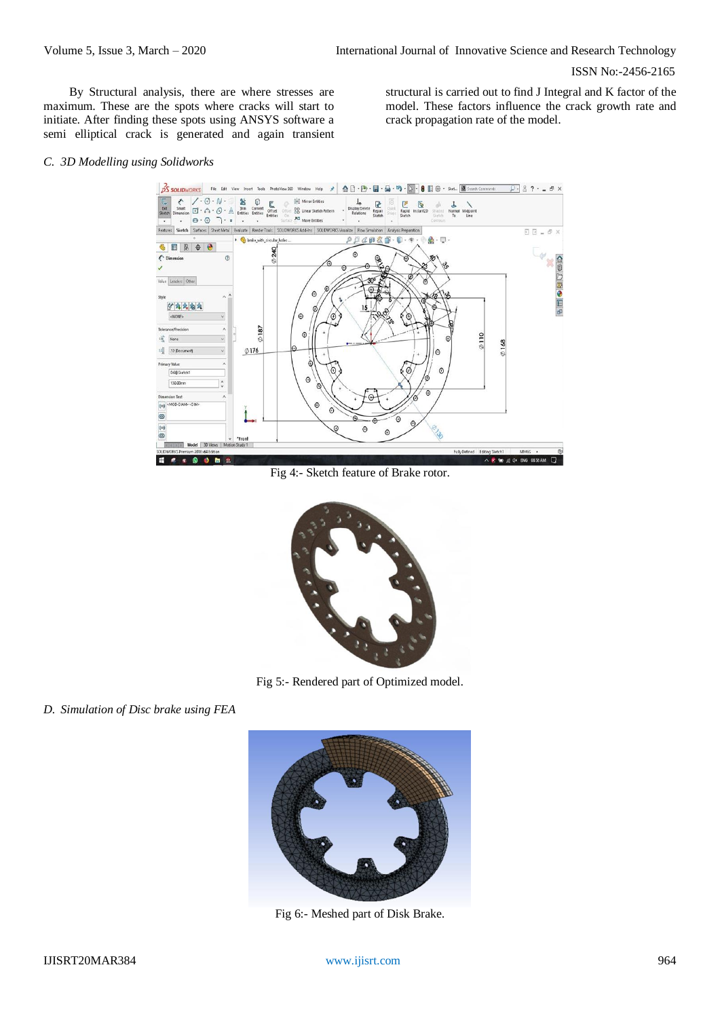By Structural analysis, there are where stresses are maximum. These are the spots where cracks will start to initiate. After finding these spots using ANSYS software a semi elliptical crack is generated and again transient

structural is carried out to find J Integral and K factor of the model. These factors influence the crack growth rate and crack propagation rate of the model.

#### *C. 3D Modelling using Solidworks*



Fig 4:- Sketch feature of Brake rotor.



Fig 5:- Rendered part of Optimized model.

*D. Simulation of Disc brake using FEA*



Fig 6:- Meshed part of Disk Brake.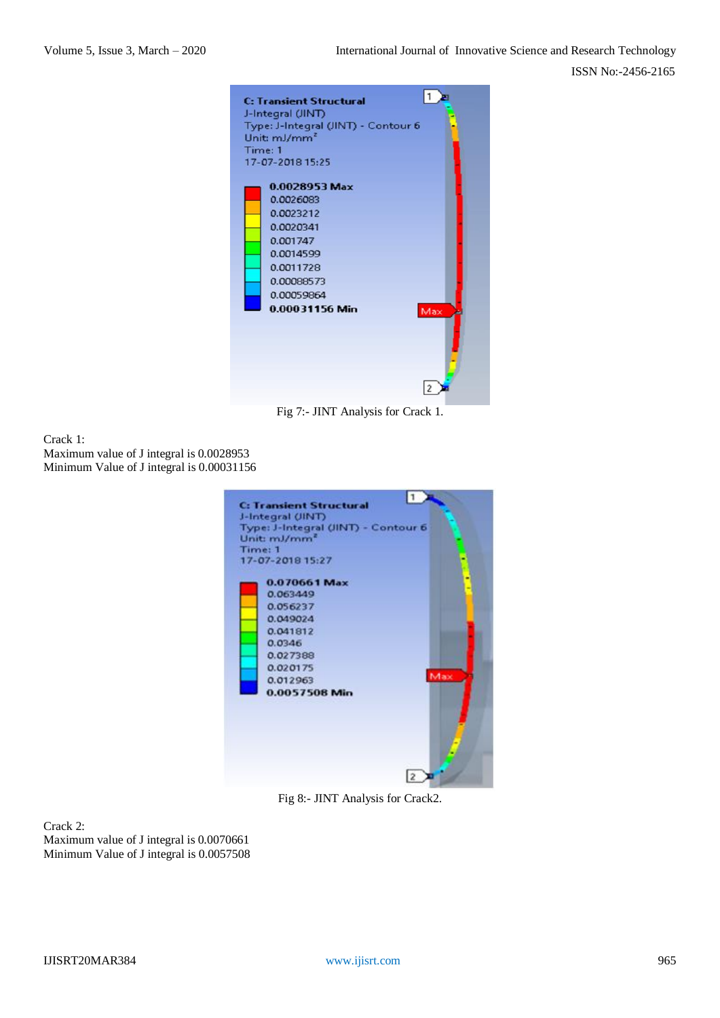

Fig 7:- JINT Analysis for Crack 1.

Crack 1: Maximum value of J integral is 0.0028953 Minimum Value of J integral is 0.00031156



Fig 8:- JINT Analysis for Crack2.

Crack 2: Maximum value of J integral is 0.0070661 Minimum Value of J integral is 0.0057508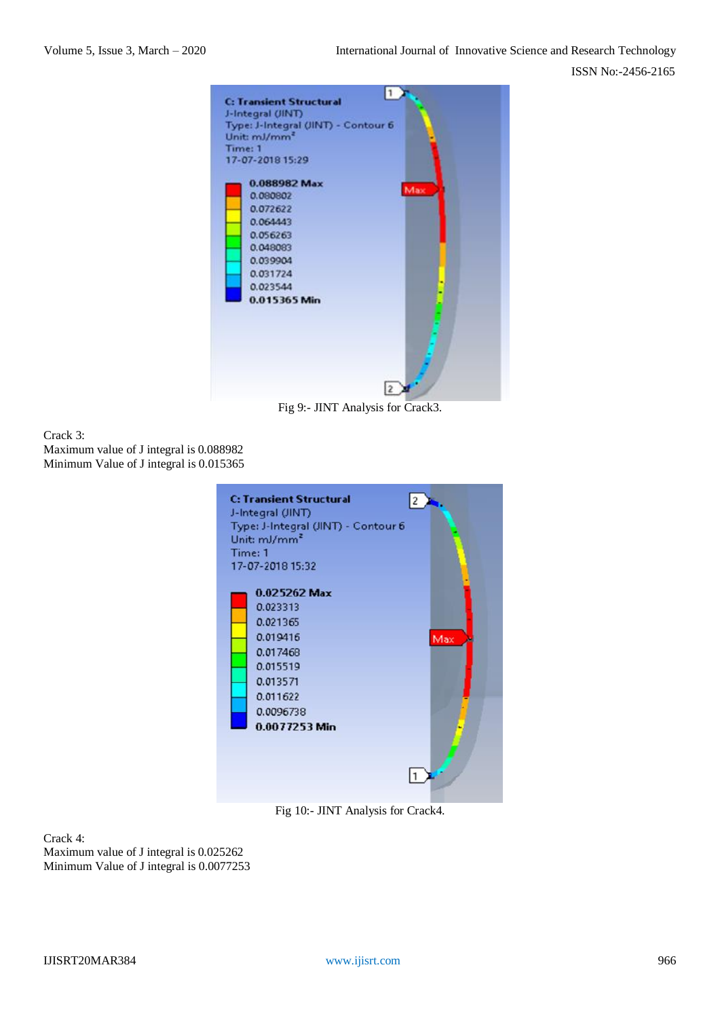

Fig 9:- JINT Analysis for Crack3.

#### Crack 3: Maximum value of J integral is 0.088982 Minimum Value of J integral is 0.015365



Fig 10:- JINT Analysis for Crack4.

Crack 4: Maximum value of J integral is 0.025262 Minimum Value of J integral is 0.0077253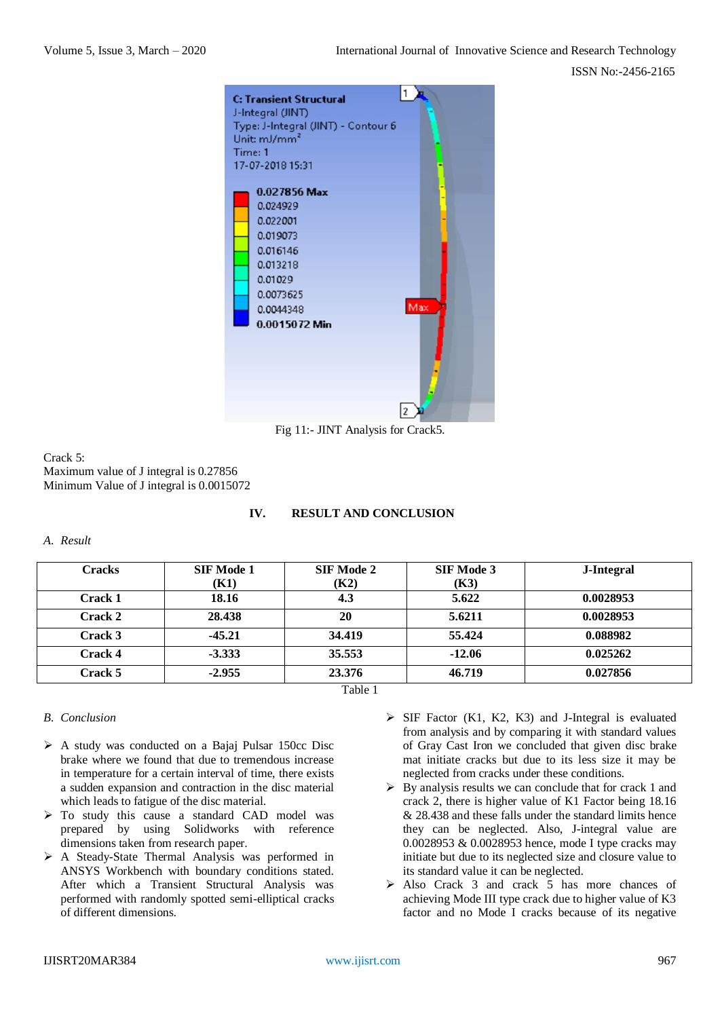

Fig 11:- JINT Analysis for Crack5.

## Crack 5: Maximum value of J integral is 0.27856 Minimum Value of J integral is 0.0015072

## **IV. RESULT AND CONCLUSION**

*A. Result*

| <b>Cracks</b>  | <b>SIF Mode 1</b> | <b>SIF Mode 2</b> | <b>SIF Mode 3</b> | J-Integral |
|----------------|-------------------|-------------------|-------------------|------------|
|                | <b>(K1)</b>       | (K2)              | (K3)              |            |
| <b>Crack 1</b> | 18.16             | 4.3               | 5.622             | 0.0028953  |
| Crack 2        | 28.438            | 20                | 5.6211            | 0.0028953  |
| Crack 3        | $-45.21$          | 34.419            | 55.424            | 0.088982   |
| Crack 4        | $-3.333$          | 35.553            | $-12.06$          | 0.025262   |
| Crack 5        | $-2.955$          | 23.376            | 46.719            | 0.027856   |
| ---            |                   |                   |                   |            |

Table 1

# *B. Conclusion*

- $\triangleright$  A study was conducted on a Bajaj Pulsar 150cc Disc brake where we found that due to tremendous increase in temperature for a certain interval of time, there exists a sudden expansion and contraction in the disc material which leads to fatigue of the disc material.
- > To study this cause a standard CAD model was prepared by using Solidworks with reference dimensions taken from research paper.
- $\triangleright$  A Steady-State Thermal Analysis was performed in ANSYS Workbench with boundary conditions stated. After which a Transient Structural Analysis was performed with randomly spotted semi-elliptical cracks of different dimensions.
- $\triangleright$  SIF Factor (K1, K2, K3) and J-Integral is evaluated from analysis and by comparing it with standard values of Gray Cast Iron we concluded that given disc brake mat initiate cracks but due to its less size it may be neglected from cracks under these conditions.
- $\triangleright$  By analysis results we can conclude that for crack 1 and crack 2, there is higher value of K1 Factor being 18.16 & 28.438 and these falls under the standard limits hence they can be neglected. Also, J-integral value are 0.0028953 & 0.0028953 hence, mode I type cracks may initiate but due to its neglected size and closure value to its standard value it can be neglected.
- > Also Crack 3 and crack 5 has more chances of achieving Mode III type crack due to higher value of K3 factor and no Mode I cracks because of its negative